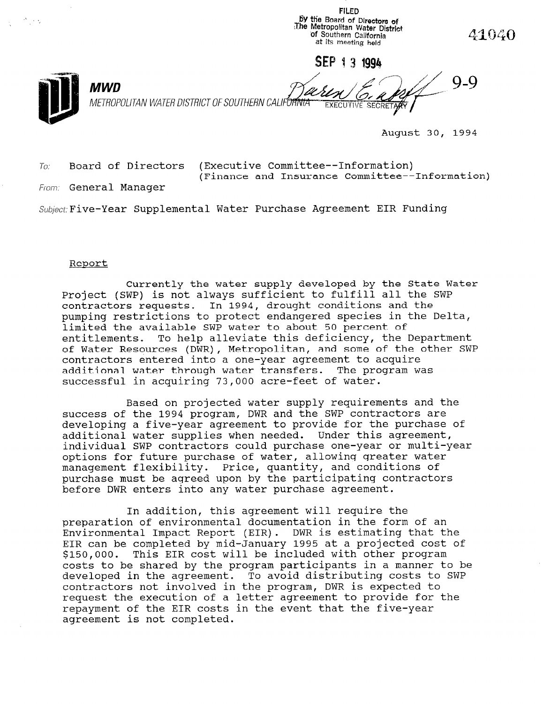FILED 5Y tiie Board of Directors of <The Metropolitan Water District 'of Southern California at its meeting held

SEP 1 3 1994

**EXECUTIVE SECRETARY** 

 $\sim$   $\sim$ 

METROPOLITAN WATER DISTRICT OF SOUTHERN CALIFORNIA

August 30, 1994

41040

 $Q_Q$ 

 $T_{0i}$  Board of Directors (Executive Committee--Information) (Finance and Insurance Committee--Information)

From: General Manager

MWD

Subject: Five-Year Supplemental Water Purchase Agreement EIR Funding

## Report

Currently the water supply developed by the State Water Project (SWP) is not always sufficient to fulfill all the SWP contractors requests. In 1994, drought conditions and the pumping restrictions to protect endangered species in the Delta, limited the available SWP water to about 50 percent of entitlements. To help alleviate this deficiency, the Department of Water Resources (DWR), Metropolitan, and some of the other SWP contractors entered into a one-year agreement to acquire additional water through water transfers. The program was successful in acquiring 73,000 acre-feet of water.

Based on projected water supply requirements and the success of the 1994 program, DWR and the SWP contractors are developing a five-year agreement to provide for the purchase of additional water supplies when needed. Under this agreement, individual SWP contractors could purchase one-year or multi-year options for future purchase of water, allowing greater water management flexibility. Price, quantity, and conditions of purchase must be agreed upon by the participating contractors before DWR enters into any water purchase agreement.

In addition, this agreement will require the preparation of environmental documentation in the form of an Environmental Impact Report (EIR). DWR is estimating that the EIRIFOIMEIRAL IMPACT REPOLT (EIR). DWA IS ESTIMATING THAT THE \$150,000. This EIR cost will be included with other program costs to be shared by the program participants in a manner to be developed in the agreement. To avoid distributing costs to SWP developed in the agreement. To avoid distributing costs to contractors not involved in the program, DWK is expected to request the execution of a letter agreement to provide for the repayment of the EIR costs in the event that the five-year agreement is not completed.